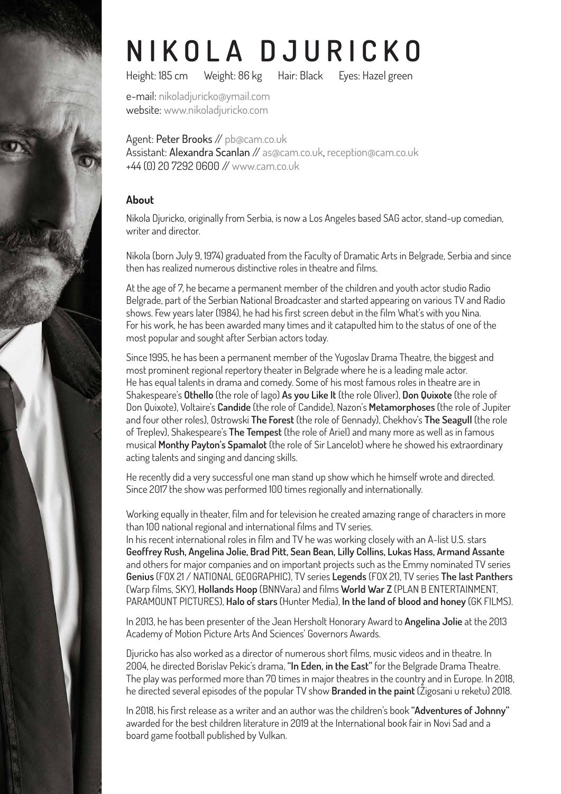# **N I K O L A D J U R I C K O**

Height: 185 cm Weight: 86 kg Hair: Black Eyes: Hazel green

e-mail: nikoladjuricko@ymail.com website: www.nikoladjuricko.com

Agent: Peter Brooks // pb@cam.co.uk Assistant: Alexandra Scanlan // as@cam.co.uk, reception@cam.co.uk +44 (0) 20 7292 0600 // www.cam.co.uk

# **About**

Nikola Djuricko, originally from Serbia, is now a Los Angeles based SAG actor, stand-up comedian, writer and director.

Nikola (born July 9, 1974) graduated from the Faculty of Dramatic Arts in Belgrade, Serbia and since then has realized numerous distinctive roles in theatre and films.

At the age of 7, he became a permanent member of the children and youth actor studio Radio Belgrade, part of the Serbian National Broadcaster and started appearing on various TV and Radio shows. Few years later (1984), he had his first screen debut in the film What's with you Nina. For his work, he has been awarded many times and it catapulted him to the status of one of the most popular and sought after Serbian actors today.

Since 1995, he has been a permanent member of the Yugoslav Drama Theatre, the biggest and most prominent regional repertory theater in Belgrade where he is a leading male actor. He has equal talents in drama and comedy. Some of his most famous roles in theatre are in Shakespeare's **Othello** (the role of Iago) **As you Like It** (the role Oliver), **Don Quixote** (the role of Don Quixote), Voltaire's **Candide** (the role of Candide), Nazon's **Metamorphoses** (the role of Jupiter and four other roles), Ostrowski **The Forest** (the role of Gennady), Chekhov's **The Seagull** (the role of Treplev), Shakespeare's **The Tempest** (the role of Ariel) and many more as well as in famous musical **Monthy Payton's Spamalot** (the role of Sir Lancelot) where he showed his extraordinary acting talents and singing and dancing skills.

He recently did a very successful one man stand up show which he himself wrote and directed. Since 2017 the show was performed 100 times regionally and internationally.

Working equally in theater, film and for television he created amazing range of characters in more than 100 national regional and international films and TV series.

In his recent international roles in film and TV he was working closely with an A-list U.S. stars **Geoffrey Rush, Angelina Jolie, Brad Pitt, Sean Bean, Lilly Collins, Lukas Hass, Armand Assante**  and others for major companies and on important projects such as the Emmy nominated TV series **Genius** (FOX 21 / NATIONAL GEOGRAPHIC), TV series **Legends** (FOX 21), TV series **The last Panthers**  (Warp films, SKY), **Hollands Hoop** (BNNVara) and films **World War Z** (PLAN B ENTERTAINMENT, PARAMOUNT PICTURES), **Halo of stars** (Hunter Media), **In the land of blood and honey** (GK FILMS).

In 2013, he has been presenter of the Jean Hersholt Honorary Award to **Angelina Jolie** at the 2013 Academy of Motion Picture Arts And Sciences' Governors Awards.

Djuricko has also worked as a director of numerous short films, music videos and in theatre. In 2004, he directed Borislav Pekic's drama, **"In Eden, in the East"** for the Belgrade Drama Theatre. The play was performed more than 70 times in major theatres in the country and in Europe. In 2018, he directed several episodes of the popular TV show **Branded in the paint** (Žigosani u reketu) 2018.

In 2018, his first release as a writer and an author was the children's book **"Adventures of Johnny"** awarded for the best children literature in 2019 at the International book fair in Novi Sad and a board game football published by Vulkan.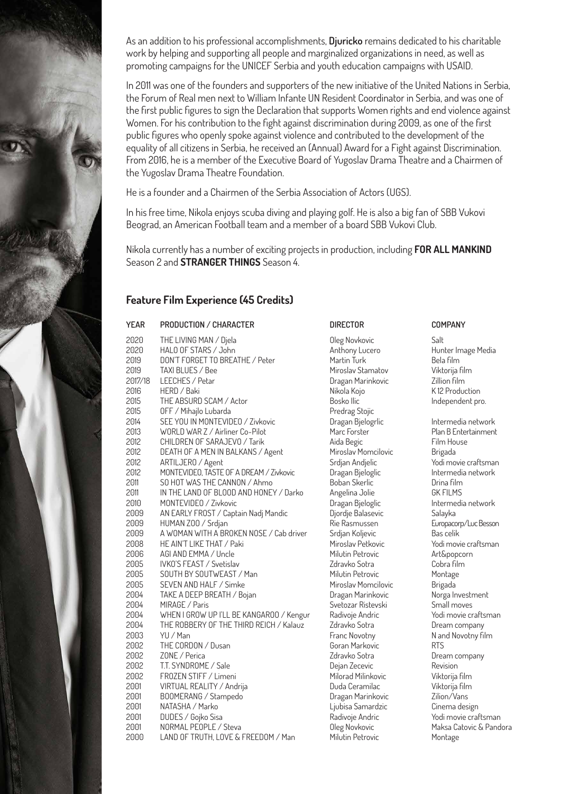As an addition to his professional accomplishments, **Djuricko** remains dedicated to his charitable work by helping and supporting all people and marginalized organizations in need, as well as promoting campaigns for the UNICEF Serbia and youth education campaigns with USAID.

In 2011 was one of the founders and supporters of the new initiative of the United Nations in Serbia, the Forum of Real men next to William Infante UN Resident Coordinator in Serbia, and was one of the first public figures to sign the Declaration that supports Women rights and end violence against Women. For his contribution to the fight against discrimination during 2009, as one of the first public figures who openly spoke against violence and contributed to the development of the equality of all citizens in Serbia, he received an (Annual) Award for a Fight against Discrimination. From 2016, he is a member of the Executive Board of Yugoslav Drama Theatre and a Chairmen of the Yugoslav Drama Theatre Foundation.

He is a founder and a Chairmen of the Serbia Association of Actors (UGS).

In his free time, Nikola enjoys scuba diving and playing golf. He is also a big fan of SBB Vukovi Beograd, an American Football team and a member of a board SBB Vukovi Club.

Nikola currently has a number of exciting projects in production, including **FOR ALL MANKIND**  Season 2 and **STRANGER THINGS** Season 4.

#### **Feature Film Experience (45 Credits)**

| <b>YEAR</b> | <b>PRODUCTION / CHARACTER</b>            | <b>DIRECTOR</b>     | COMPANY         |
|-------------|------------------------------------------|---------------------|-----------------|
| 2020        | THE LIVING MAN / Djela                   | Oleg Novkovic       | Salt            |
| 2020        | HALO OF STARS / John                     | Anthony Lucero      | Hunter Imag     |
| 2019        | DON'T FORGET TO BREATHE / Peter          | Martin Turk         | Bela film       |
| 2019        | TAXI BLUES / Bee                         | Miroslav Stamatov   | Viktorija film  |
| 2017/18     | LEECHES / Petar                          | Dragan Marinkovic   | Zillion film    |
| 2016        | HERD / Baki                              | Nikola Kojo         | K12 Producti    |
| 2015        | THE ABSURD SCAM / Actor                  | Bosko Ilic          | Independent     |
| 2015        | OFF / Mihajlo Lubarda                    | Predrag Stojic      |                 |
| 2014        | SEE YOU IN MONTEVIDEO / Zivkovic         | Dragan Bjelogrlic   | Intermedia n    |
| 2013        | WORLD WAR Z / Airliner Co-Pilot          | Marc Forster        | Plan B Entert   |
| 2012        | CHILDREN OF SARAJEVO / Tarik             | Aida Begic          | Film House      |
| 2012        | DEATH OF A MEN IN BALKANS / Agent        | Miroslav Momcilovic | Brigada         |
| 2012        | ARTILJERO / Agent                        | Srdjan Andjelic     | Yodi movie ci   |
| 2012        | MONTEVIDEO, TASTE OF A DREAM / Zivkovic  | Dragan Bjeloglic    | Intermedia n    |
| 2011        | SO HOT WAS THE CANNON / Ahmo             | Boban Skerlic       | Drina film      |
| 2011        | IN THE LAND OF BLOOD AND HONEY / Darko   | Angelina Jolie      | <b>GK FILMS</b> |
| 2010        | MONTEVIDEO / Zivkovic                    | Dragan Bjeloglic    | Intermedia n    |
| 2009        | AN EARLY FROST / Captain Nadj Mandic     | Djordje Balasevic   | Salayka         |
| 2009        | HUMAN Z00 / Srdjan                       | Rie Rasmussen       | Europacorp/L    |
| 2009        | A WOMAN WITH A BROKEN NOSE / Cab driver  | Srdjan Koljevic     | Bas celik       |
| 2008        | HE AIN'T LIKE THAT / Paki                | Miroslav Petkovic   | Yodi movie cı   |
| 2006        | AGI AND EMMA / Uncle                     | Milutin Petrovic    | Art&popcorr     |
| 2005        | IVKO'S FEAST / Svetislav                 | Zdravko Sotra       | Cobra film      |
| 2005        | SOUTH BY SOUTWEAST / Man                 | Milutin Petrovic    | Montage         |
| 2005        | SEVEN AND HALF / Simke                   | Miroslav Momcilovic | Brigada         |
| 2004        | TAKE A DEEP BREATH / Bojan               | Dragan Marinkovic   | Norga Invest    |
| 2004        | MIRAGE / Paris                           | Svetozar Ristevski  | Small moves     |
| 2004        | WHEN I GROW UP I'LL BE KANGAROO / Kengur | Radivoje Andric     | Yodi movie c    |
| 2004        | THE ROBBERY OF THE THIRD REICH / Kalauz  | Zdravko Sotra       | Dream comp      |
| 2003        | YU / Man                                 | Franc Novotny       | N and Novoti    |
| 2002        | THE CORDON / Dusan                       | Goran Markovic      | <b>RTS</b>      |
| 2002        | ZONE / Perica                            | Zdravko Sotra       | Dream comp      |
| 2002        | T.T. SYNDROME / Sale                     | Dejan Zecevic       | Revision        |
| 2002        | FROZEN STIFF / Limeni                    | Milorad Milinkovic  | Viktorija film  |
| 2001        | VIRTUAL REALITY / Andrija                | Duda Ceramilac      | Viktorija film  |
| 2001        | BOOMERANG / Stampedo                     | Dragan Marinkovic   | Zilion/Vans     |
| 2001        | NATASHA / Marko                          | Ljubisa Samardzic   | Cinema desi     |
| 2001        | DUDES / Gojko Sisa                       | Radivoje Andric     | Yodi movie c    |
| 2001        | NORMAL PEOPLE / Steva                    | Oleg Novkovic       | Maksa Catov     |
| 2000        | LAND OF TRUTH, LOVE & FREEDOM / Man      | Milutin Petrovic    | Montage         |

Hunter Image Media Viktorija film K12 Production Independent pro.

Intermedia network Plan B Entertainment Yodi movie craftsman Intermedia network Intermedia network Europacorp/Luc Besson Yodi movie craftsman Art&popcorn Norga Investment Yodi movie craftsman Dream company N and Novotny film Dream company Viktorija film Viktorija film<br>Zilion/Vans Cinema design Yodi movie craftsman Maksa Catovic & Pandora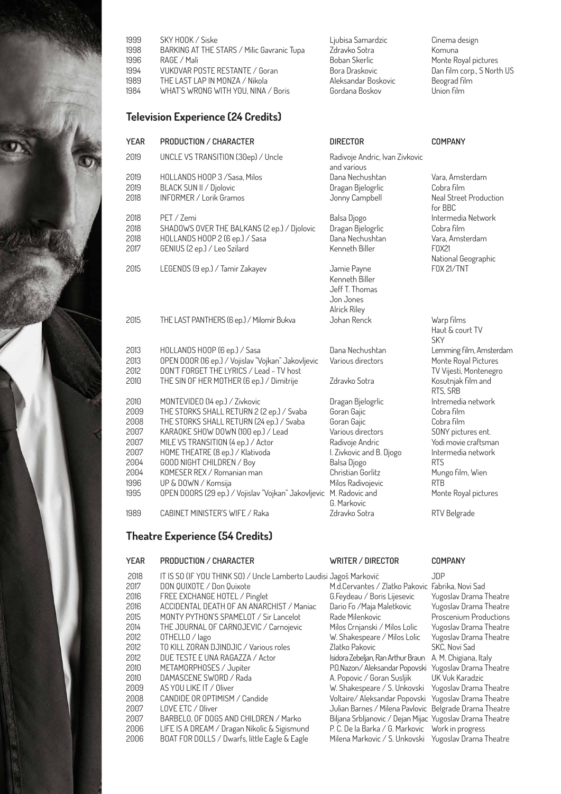

| 1999<br>1998<br>1996<br>1994<br>1989<br>1984                                         | SKY HOOK / Siske<br>BARKING AT THE STARS / Milic Gavranic Tupa<br>RAGE / Mali<br>VUKOVAR POSTE RESTANTE / Goran<br>THE LAST LAP IN MONZA / Nikola<br>WHAT'S WRONG WITH YOU, NINA / Boris                                                                                                                                                                                                                                          | Ljubisa Samardzic<br>Zdravko Sotra<br>Boban Skerlic<br>Bora Draskovic<br>Aleksandar Boskovic<br>Gordana Boskov                                                                                               | Cinema design<br>Komuna<br>Monte Royal pictures<br>Dan film corp., S North US<br>Beograd film<br>Union film                                                                                                            |
|--------------------------------------------------------------------------------------|-----------------------------------------------------------------------------------------------------------------------------------------------------------------------------------------------------------------------------------------------------------------------------------------------------------------------------------------------------------------------------------------------------------------------------------|--------------------------------------------------------------------------------------------------------------------------------------------------------------------------------------------------------------|------------------------------------------------------------------------------------------------------------------------------------------------------------------------------------------------------------------------|
|                                                                                      | <b>Television Experience (24 Credits)</b>                                                                                                                                                                                                                                                                                                                                                                                         |                                                                                                                                                                                                              |                                                                                                                                                                                                                        |
| <b>YEAR</b>                                                                          | <b>PRODUCTION / CHARACTER</b>                                                                                                                                                                                                                                                                                                                                                                                                     | <b>DIRECTOR</b>                                                                                                                                                                                              | <b>COMPANY</b>                                                                                                                                                                                                         |
| 2019                                                                                 | UNCLE VS TRANSITION (30ep) / Uncle                                                                                                                                                                                                                                                                                                                                                                                                | Radivoje Andric, Ivan Zivkovic<br>and various                                                                                                                                                                |                                                                                                                                                                                                                        |
| 2019<br>2019<br>2018                                                                 | HOLLANDS HOOP 3 / Sasa, Milos<br>BLACK SUN II / Djolovic<br><b>INFORMER / Lorik Gramos</b>                                                                                                                                                                                                                                                                                                                                        | Dana Nechushtan<br>Dragan Bjelogrlic<br>Jonny Campbell                                                                                                                                                       | Vara, Amsterdam<br>Cobra film<br>Neal Street Production<br>for BBC                                                                                                                                                     |
| 2018<br>2018<br>2018<br>2017                                                         | PET / Zemi<br>SHADOWS OVER THE BALKANS (2 ep.) / Djolovic<br>HOLLANDS HOOP 2 (6 ep.) / Sasa<br>GENIUS (2 ep.) / Leo Szilard                                                                                                                                                                                                                                                                                                       | Balsa Djogo<br>Dragan Bjelogrlic<br>Dana Nechushtan<br>Kenneth Biller                                                                                                                                        | Intermedia Network<br>Cobra film<br>Vara, Amsterdam<br>F0X21<br>National Geographic                                                                                                                                    |
| 2015                                                                                 | LEGENDS (9 ep.) / Tamir Zakayev                                                                                                                                                                                                                                                                                                                                                                                                   | Jamie Payne<br>Kenneth Biller<br>Jeff T. Thomas<br>Jon Jones<br>Alrick Riley                                                                                                                                 | <b>FOX 21/TNT</b>                                                                                                                                                                                                      |
| 2015                                                                                 | THE LAST PANTHERS (6 ep.) / Milomir Bukva                                                                                                                                                                                                                                                                                                                                                                                         | Johan Renck                                                                                                                                                                                                  | Warp films<br>Haut & court TV<br><b>SKY</b>                                                                                                                                                                            |
| 2013<br>2013<br>2012<br>2010                                                         | HOLLANDS HOOP (6 ep.) / Sasa<br>OPEN DOOR (16 ep.) / Vojislav "Vojkan" Jakovljevic<br>DON'T FORGET THE LYRICS / Lead - TV host<br>THE SIN OF HER MOTHER (6 ep.) / Dimitrije                                                                                                                                                                                                                                                       | Dana Nechushtan<br>Various directors<br>Zdravko Sotra                                                                                                                                                        | Lemming film, Amsterdam<br>Monte Royal Pictures<br>TV Vijesti, Montenegro<br>Kosutnjak film and                                                                                                                        |
| 2010<br>2009<br>2008<br>2007<br>2007<br>2007<br>2004<br>2004<br>1996<br>1995<br>1989 | MONTEVIDEO (14 ep.) / Zivkovic<br>THE STORKS SHALL RETURN 2 (2 ep.) / Svaba<br>THE STORKS SHALL RETURN (24 ep.) / Svaba<br>KARAOKE SHOW DOWN (100 ep.) / Lead<br>MILE VS TRANSITION (4 ep.) / Actor<br>HOME THEATRE (8 ep.) / Klativoda<br>GOOD NIGHT CHILDREN / Boy<br>KOMESER REX / Romanian man<br>UP & DOWN / Komsija<br>OPEN DOORS (29 ep.) / Vojislav "Vojkan" Jakovljevic M. Radovic and<br>CABINET MINISTER'S WIFE / Raka | Dragan Bjelogrlic<br>Goran Gajic<br>Goran Gajic<br>Various directors<br>Radivoje Andric<br>I. Zivkovic and B. Djogo<br>Balsa Djogo<br>Christian Gorlitz<br>Milos Radivojevic<br>G. Markovic<br>Zdravko Sotra | RTS, SRB<br>Intremedia network<br>Cobra film<br>Cobra film<br>SONY pictures ent.<br>Yodi movie craftsman<br>Intermedia network<br><b>RIS</b><br>Mungo film, Wien<br><b>RTB</b><br>Monte Royal pictures<br>RTV Belgrade |
|                                                                                      | <b>Theatre Experience (54 Credits)</b>                                                                                                                                                                                                                                                                                                                                                                                            |                                                                                                                                                                                                              |                                                                                                                                                                                                                        |
|                                                                                      |                                                                                                                                                                                                                                                                                                                                                                                                                                   |                                                                                                                                                                                                              |                                                                                                                                                                                                                        |

#### **YEAR PRODUCTION / CHARACTER WRITER / DIRECTOR COMPANY**

| 2018 | IT IS SO (IF YOU THINK SO) / Uncle Lamberto Laudisi Jagoš Marković |                                                          | JDP                           |
|------|--------------------------------------------------------------------|----------------------------------------------------------|-------------------------------|
| 2017 | DON QUIXOTE / Don Quixote                                          | M.d.Cervantes / Zlatko Pakovic Fabrika, Novi Sad         |                               |
| 2016 | FREE EXCHANGE HOTEL / Pinglet                                      | G. Feydeau / Boris Lijesevic                             | Yugoslav Drama Theatre        |
| 2016 | ACCIDENTAL DEATH OF AN ANARCHIST / Maniac                          | Dario Fo / Maja Maletkovic                               | Yugoslav Drama Theatre        |
| 2015 | MONTY PYTHON'S SPAMELOT / Sir Lancelot                             | Rade Milenkovic                                          | <b>Proscenium Productions</b> |
| 2014 | THE JOURNAL OF CARNOJEVIC / Carnojevic                             | Milos Crnjanski / Milos Lolic                            | Yugoslav Drama Theatre        |
| 2012 | OTHELLO / lago                                                     | W. Shakespeare / Milos Lolic                             | Yugoslav Drama Theatre        |
| 2012 | TO KILL ZORAN DJINDJIC / Various roles                             | Zlatko Pakovic                                           | SKC. Novi Sad                 |
| 2012 | DUE TESTE E UNA RAGAZZA / Actor                                    | Isidora Zebeljan, Ran Arthur Braun                       | A. M. Chigiana, Italy         |
| 2010 | METAMORPHOSES / Jupiter                                            | P.O.Nazon/Aleksandar Popovski Yugoslav Drama Theatre     |                               |
| 2010 | DAMASCENE SWORD / Rada                                             | A. Popovic / Goran Susljik UK Vuk Karadzic               |                               |
| 2009 | AS YOU LIKE IT / Oliver                                            | W. Shakespeare / S. Unkovski Yugoslav Drama Theatre      |                               |
| 2008 | CANDIDE OR OPTIMISM / Candide                                      | Voltaire/ Aleksandar Popovski Yugoslav Drama Theatre     |                               |
| 2007 | LOVE ETC / Oliver                                                  | Julian Barnes / Milena Pavlovic Belgrade Drama Theatre   |                               |
| 2007 | BARBELO, OF DOGS AND CHILDREN / Marko                              | Biljana Srbljanovic / Dejan Mijac Yugoslav Drama Theatre |                               |
| 2006 | LIFE IS A DREAM / Dragan Nikolic & Sigismund                       | P. C. De la Barka / G. Markovic Work in progress         |                               |
| 2006 | BOAT FOR DOLLS / Dwarfs, little Eagle & Eagle                      | Milena Markovic / S. Unkovski Yugoslav Drama Theatre     |                               |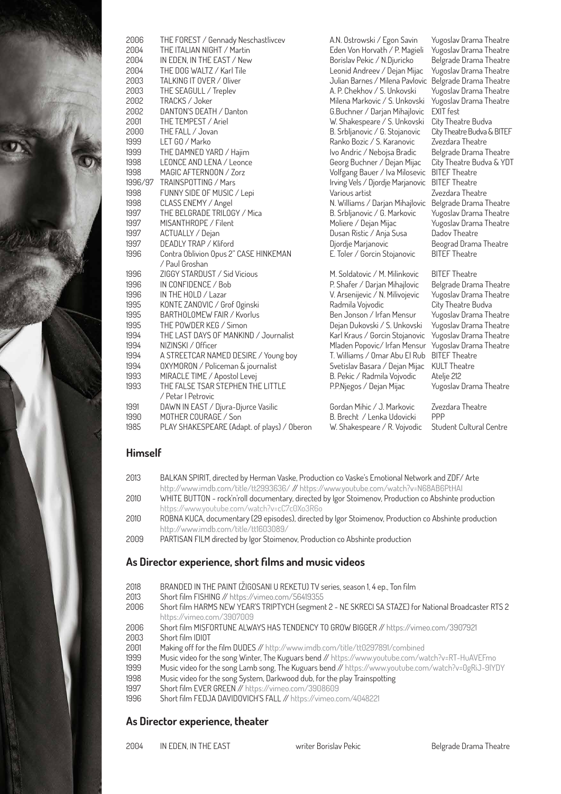

| 2006    | THE FOREST / Gennady Neschastlivcev         | A.N. Ostrowski / Egon Savin                            | Yugoslav Drama Theatre     |
|---------|---------------------------------------------|--------------------------------------------------------|----------------------------|
| 2004    | THE ITALIAN NIGHT / Martin                  | Eden Von Horvath / P. Magieli                          | Yugoslav Drama Theatre     |
| 2004    | IN EDEN, IN THE EAST / New                  | Borislav Pekic / N.Djuricko                            | Belgrade Drama Theatre     |
| 2004    | THE DOG WALTZ / Karl Tile                   | Leonid Andreev / Dejan Mijac                           | Yugoslav Drama Theatre     |
| 2003    | TALKING IT OVER / Oliver                    | Julian Barnes / Milena Pavlovic Belgrade Drama Theatre |                            |
| 2003    | THE SEAGULL / Treplev                       | A. P. Chekhov / S. Unkovski                            | Yugoslav Drama Theatre     |
| 2002    | TRACKS / Joker                              | Milena Markovic / S. Unkovski                          | Yugoslav Drama Theatre     |
| 2002    | DANTON'S DEATH / Danton                     | G.Buchner / Darjan Mihajlovic                          | <b>EXIT</b> fest           |
| 2001    | THE TEMPEST / Ariel                         | W. Shakespeare / S. Unkovski                           | City Theatre Budva         |
| 2000    | THE FALL / Jovan                            | B. Srbljanovic / G. Stojanovic                         | City Theatre Budva & BITEF |
| 1999    | LET GO / Marko                              | Ranko Bozic / S. Karanovic                             | Zvezdara Theatre           |
| 1999    | THE DAMNED YARD / Hajim                     | Ivo Andric / Nebojsa Bradic                            | Belgrade Drama Theatre     |
| 1998    | LEONCE AND LENA / Leonce                    | Georg Buchner / Dejan Mijac                            | City Theatre Budva & YDT   |
| 1998    | MAGIC AFTERNOON / Zorz                      | Volfgang Bauer / Iva Milosevic BITEF Theatre           |                            |
| 1996/97 | TRAINSPOTTING / Mars                        | Irving Vels / Djordje Marjanovic BITEF Theatre         |                            |
| 1998    | FUNNY SIDE OF MUSIC / Lepi                  | Various artist                                         | Zvezdara Theatre           |
| 1998    | CLASS ENEMY / Angel                         | N. Williams / Darjan Mihajlovic                        | Belgrade Drama Theatre     |
| 1997    | THE BELGRADE TRILOGY / Mica                 | B. Srbljanovic / G. Markovic                           | Yugoslav Drama Theatre     |
| 1997    | MISANTHROPE / Filent                        | Moliere / Dejan Mijac                                  | Yugoslav Drama Theatre     |
| 1997    | ACTUALLY / Dejan                            | Dusan Ristic / Anja Susa                               | Dadov Theatre              |
| 1997    | DEADLY TRAP / Kliford                       | Djordje Marjanovic                                     | Beograd Drama Theatre      |
| 1996    | Contra Oblivion Opus 2" CASE HINKEMAN       | E. Toler / Gorcin Stojanovic                           | <b>BITEF Theatre</b>       |
|         | / Paul Groshan                              |                                                        |                            |
| 1996    | ZIGGY STARDUST / Sid Vicious                | M. Soldatovic / M. Milinkovic                          | <b>BITEF Theatre</b>       |
| 1996    | IN CONFIDENCE / Bob                         | P. Shafer / Darjan Mihajlovic                          | Belgrade Drama Theatre     |
| 1996    | IN THE HOLD / Lazar                         | V. Arsenijevic / N. Milivojevic                        | Yugoslav Drama Theatre     |
| 1995    | KONTE ZANOVIC / Grof Oginski                | Radmila Vojvodic                                       | City Theatre Budva         |
| 1995    | BARTHOLOMEW FAIR / Kvorlus                  | Ben Jonson / Irfan Mensur                              | Yugoslav Drama Theatre     |
| 1995    | THE POWDER KEG / Simon                      | Dejan Dukovski / S. Unkovski                           | Yugoslav Drama Theatre     |
| 1994    | THE LAST DAYS OF MANKIND / Journalist       | Karl Kraus / Gorcin Stojanovic                         | Yugoslav Drama Theatre     |
| 1994    | NIZINSKI / Officer                          | Mladen Popovic/ Irfan Mensur                           | Yugoslav Drama Theatre     |
| 1994    | A STREETCAR NAMED DESIRE / Young boy        | T. Williams / Omar Abu El Rub                          | <b>BITEF Theatre</b>       |
| 1994    | OXYMORON / Policeman & journalist           | Svetislav Basara / Dejan Mijac                         | <b>KULT Theatre</b>        |
| 1993    | MIRACLE TIME / Apostol Levej                | B. Pekic / Radmila Vojvodic                            | Atelje 212                 |
| 1993    | THE FALSE TSAR STEPHEN THE LITTLE           | P.P.Njegos / Dejan Mijac                               | Yugoslav Drama Theatre     |
|         | / Petar   Petrovic                          |                                                        |                            |
| 1991    | DAWN IN EAST / Djura-Djurce Vasilic         | Gordan Mihic / J. Markovic                             | Zvezdara Theatre           |
| 1990    | MOTHER COURAGE / Son                        | B. Brecht / Lenka Udovicki                             | PPP                        |
| 1985    | PLAY SHAKESPEARE (Adapt. of plays) / Oberon | W. Shakespeare / R. Vojvodic                           | Student Cultural Centre    |
|         |                                             |                                                        |                            |

# **Himself**

| 2013 | BALKAN SPIRIT, directed by Herman Vaske, Production co Vaske's Emotional Network and ZDF/ Arte     |  |
|------|----------------------------------------------------------------------------------------------------|--|
|      | http://www.imdb.com/title/tt2993636/ // https://www.youtube.com/watch?v=N68AB6PtHAI                |  |
| 2010 | WHITE BUTTON - rock'n'roll documentary directed by lgor Stoimenov Production co Abshinte productio |  |

- 2010 WHITE BUTTON rock'n'roll documentary, directed by Igor Stoimenov, Production co Abshinte production https://www.youtube.com/watch?v=cC7c0Xo3R6o
- 2010 ROBNA KUCA, documentary (29 episodes), directed by Igor Stoimenov, Production co Abshinte production http://www.imdb.com/title/tt1603089/
- 2009 PARTISAN FILM directed by Igor Stoimenov, Production co Abshinte production

# **As Director experience, short films and music videos**

- 2018 BRANDED IN THE PAINT (ŽIGOSANI U REKETU) TV series, season 1, 4 ep., Ton film
- 2013 Short film FISHING // https://vimeo.com/56419355
- 2006 Short film HARMS NEW YEAR'S TRIPTYCH (segment 2 NE SKRECI SA STAZE) for National Broadcaster RTS 2 https://vimeo.com/3907009
- 2006 Short film MISFORTUNE ALWAYS HAS TENDENCY TO GROW BIGGER // https://vimeo.com/3907921
- 2003 Short film IDIOT<br>2001 Making off for th
- Making off for the film DUDES // http://www.imdb.com/title/tt0297891/combined
- 1999 Music video for the song Winter, The Kuguars bend // https://www.youtube.com/watch?v=RT-HuAVEFmo
- 1999 Music video for the song Lamb song, The Kuguars bend  $\ddot{\mathscr{N}}$  https://www.youtube.com/watch?v=0gRiJ-9lYDY<br>1998 Music video for the song System Darkwood dub for the play Trainspotting
- Music video for the song System, Darkwood dub, for the play Trainspotting
- 1997 Short film EVER GREEN // https://vimeo.com/3908609
- 1996 Short film FEDJA DAVIDOVICH'S FALL // https://vimeo.com/4048221

# **As Director experience, theater**

2004 IN EDEN, IN THE EAST **WRITER STATES WEITER OF STATES IN THE SECTAME AREA** Belgrade Drama Theatre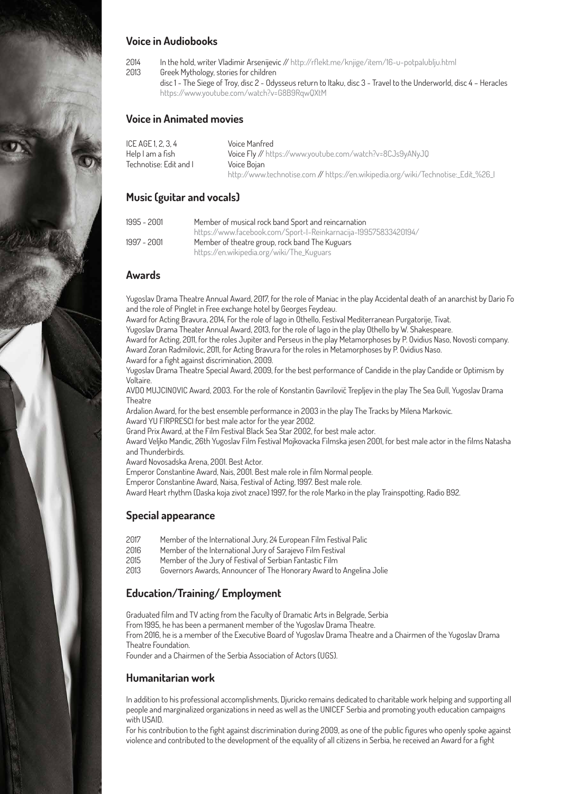#### **Voice in Audiobooks**

2014 In the hold, writer Vladimir Arsenijevic // http://rflekt.me/knjige/item/16-u-potpalublju.html

- Greek Mythology, stories for children
	- disc 1 The Siege of Troy, disc 2 Odysseus return to Itaku, disc 3 Travel to the Underworld, disc 4 Heracles https://www.youtube.com/watch?v=G8B9RqwQXtM

### **Voice in Animated movies**

| ICE AGE 1, 2, 3, 4     | Voice Manfred                                                                     |
|------------------------|-----------------------------------------------------------------------------------|
| Help I am a fish       | Voice Fly // https://www.youtube.com/watch?v=8CJs9yANyJQ                          |
| Technotise: Edit and L | Voice Bojan                                                                       |
|                        | http://www.technotise.com // https://en.wikipedia.org/wiki/Technotise:_Edit_%26_I |

# **Music (guitar and vocals)**

| 1995 - 2001 | Member of musical rock band Sport and reincarnation             |
|-------------|-----------------------------------------------------------------|
|             | https://www.facebook.com/Sport-I-Reinkarnacija-199575833420194/ |
| 1997 - 2001 | Member of theatre group, rock band The Kuguars                  |
|             | https://en.wikipedia.org/wiki/The_Kuguars                       |

#### **Awards**

Yugoslav Drama Theatre Annual Award, 2017, for the role of Maniac in the play Accidental death of an anarchist by Dario Fo and the role of Pinglet in Free exchange hotel by Georges Feydeau.

Award for Acting Bravura, 2014, For the role of Iago in Othello, Festival Mediterranean Purgatorije, Tivat.

Yugoslav Drama Theater Annual Award, 2013, for the role of Iago in the play Othello by W. Shakespeare. Award for Acting, 2011, for the roles Jupiter and Perseus in the play Metamorphoses by P. Ovidius Naso, Novosti company. Award Zoran Radmilovic, 2011, for Acting Bravura for the roles in Metamorphoses by P. Ovidius Naso. Award for a fight against discrimination, 2009.

Yugoslav Drama Theatre Special Award, 2009, for the best performance of Candide in the play Candide or Optimism by Voltaire.

AVDO MUJCINOVIC Award, 2003. For the role of Konstantin Gavrilovič Trepljev in the play The Sea Gull, Yugoslav Drama Theatre

Ardalion Award, for the best ensemble performance in 2003 in the play The Tracks by Milena Markovic. Award YU FIRPRESCI for best male actor for the year 2002.

Grand Prix Award, at the Film Festival Black Sea Star 2002, for best male actor.

Award Veljko Mandic, 26th Yugoslav Film Festival Mojkovacka Filmska jesen 2001, for best male actor in the films Natasha and Thunderbirds.

Award Novosadska Arena, 2001. Best Actor.

Emperor Constantine Award, Nais, 2001. Best male role in film Normal people.

Emperor Constantine Award, Naisa, Festival of Acting, 1997. Best male role.

Award Heart rhythm (Daska koja zivot znace) 1997, for the role Marko in the play Trainspotting, Radio B92.

# **Special appearance**

- 2017 Member of the International Jury, 24 European Film Festival Palic
- 2016 Member of the International Jury of Sarajevo Film Festival
- 2015 Member of the Jury of Festival of Serbian Fantastic Film
- 2013 Governors Awards, Announcer of The Honorary Award to Angelina Jolie

# **Education/Training/ Employment**

Graduated film and TV acting from the Faculty of Dramatic Arts in Belgrade, Serbia

From 1995, he has been a permanent member of the Yugoslav Drama Theatre.

From 2016, he is a member of the Executive Board of Yugoslav Drama Theatre and a Chairmen of the Yugoslav Drama Theatre Foundation.

Founder and a Chairmen of the Serbia Association of Actors (UGS).

#### **Humanitarian work**

In addition to his professional accomplishments, Djuricko remains dedicated to charitable work helping and supporting all people and marginalized organizations in need as well as the UNICEF Serbia and promoting youth education campaigns with USAID.

For his contribution to the fight against discrimination during 2009, as one of the public figures who openly spoke against violence and contributed to the development of the equality of all citizens in Serbia, he received an Award for a fight